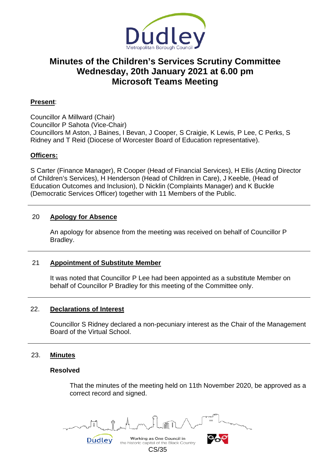

# **Minutes of the Children's Services Scrutiny Committee Wednesday, 20th January 2021 at 6.00 pm Microsoft Teams Meeting**

# **Present**:

Councillor A Millward (Chair) Councillor P Sahota (Vice-Chair) Councillors M Aston, J Baines, I Bevan, J Cooper, S Craigie, K Lewis, P Lee, C Perks, S Ridney and T Reid (Diocese of Worcester Board of Education representative).

# **Officers:**

S Carter (Finance Manager), R Cooper (Head of Financial Services), H Ellis (Acting Director of Children's Services), H Henderson (Head of Children in Care), J Keeble, (Head of Education Outcomes and Inclusion), D Nicklin (Complaints Manager) and K Buckle (Democratic Services Officer) together with 11 Members of the Public.

#### 20 **Apology for Absence**

An apology for absence from the meeting was received on behalf of Councillor P Bradley.

# 21 **Appointment of Substitute Member**

It was noted that Councillor P Lee had been appointed as a substitute Member on behalf of Councillor P Bradley for this meeting of the Committee only.

#### 22. **Declarations of Interest**

Councillor S Ridney declared a non-pecuniary interest as the Chair of the Management Board of the Virtual School.

#### 23. **Minutes**

#### **Resolved**

That the minutes of the meeting held on 11th November 2020, be approved as a correct record and signed.

Working as One Council in Dudley

the historic capital of the Black Country CS/35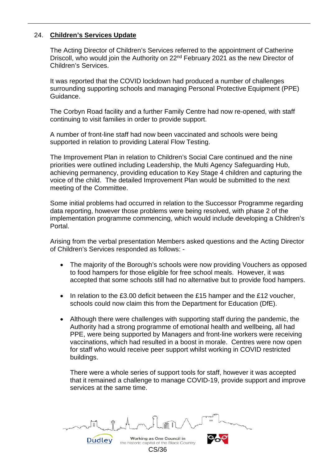# 24. **Children's Services Update**

The Acting Director of Children's Services referred to the appointment of Catherine Driscoll, who would join the Authority on 22<sup>nd</sup> February 2021 as the new Director of Children's Services.

It was reported that the COVID lockdown had produced a number of challenges surrounding supporting schools and managing Personal Protective Equipment (PPE) Guidance.

The Corbyn Road facility and a further Family Centre had now re-opened, with staff continuing to visit families in order to provide support.

A number of front-line staff had now been vaccinated and schools were being supported in relation to providing Lateral Flow Testing.

The Improvement Plan in relation to Children's Social Care continued and the nine priorities were outlined including Leadership, the Multi Agency Safeguarding Hub, achieving permanency, providing education to Key Stage 4 children and capturing the voice of the child. The detailed Improvement Plan would be submitted to the next meeting of the Committee.

Some initial problems had occurred in relation to the Successor Programme regarding data reporting, however those problems were being resolved, with phase 2 of the implementation programme commencing, which would include developing a Children's Portal.

Arising from the verbal presentation Members asked questions and the Acting Director of Children's Services responded as follows: -

- The majority of the Borough's schools were now providing Vouchers as opposed to food hampers for those eligible for free school meals. However, it was accepted that some schools still had no alternative but to provide food hampers.
- In relation to the £3.00 deficit between the £15 hamper and the £12 voucher, schools could now claim this from the Department for Education (DfE).
- Although there were challenges with supporting staff during the pandemic, the Authority had a strong programme of emotional health and wellbeing, all had PPE, were being supported by Managers and front-line workers were receiving vaccinations, which had resulted in a boost in morale. Centres were now open for staff who would receive peer support whilst working in COVID restricted buildings.

There were a whole series of support tools for staff, however it was accepted that it remained a challenge to manage COVID-19, provide support and improve services at the same time.

Working as One Council in the historic capital of the Black Country CS/36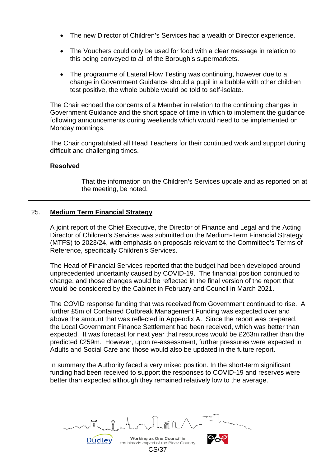- The new Director of Children's Services had a wealth of Director experience.
- The Vouchers could only be used for food with a clear message in relation to this being conveyed to all of the Borough's supermarkets.
- The programme of Lateral Flow Testing was continuing, however due to a change in Government Guidance should a pupil in a bubble with other children test positive, the whole bubble would be told to self-isolate.

The Chair echoed the concerns of a Member in relation to the continuing changes in Government Guidance and the short space of time in which to implement the guidance following announcements during weekends which would need to be implemented on Monday mornings.

The Chair congratulated all Head Teachers for their continued work and support during difficult and challenging times.

# **Resolved**

That the information on the Children's Services update and as reported on at the meeting, be noted.

# 25. **Medium Term Financial Strategy**

Dudley

A joint report of the Chief Executive, the Director of Finance and Legal and the Acting Director of Children's Services was submitted on the Medium-Term Financial Strategy (MTFS) to 2023/24, with emphasis on proposals relevant to the Committee's Terms of Reference, specifically Children's Services.

The Head of Financial Services reported that the budget had been developed around unprecedented uncertainty caused by COVID-19. The financial position continued to change, and those changes would be reflected in the final version of the report that would be considered by the Cabinet in February and Council in March 2021.

The COVID response funding that was received from Government continued to rise. A further £5m of Contained Outbreak Management Funding was expected over and above the amount that was reflected in Appendix A. Since the report was prepared, the Local Government Finance Settlement had been received, which was better than expected. It was forecast for next year that resources would be £263m rather than the predicted £259m. However, upon re-assessment, further pressures were expected in Adults and Social Care and those would also be updated in the future report.

In summary the Authority faced a very mixed position. In the short-term significant funding had been received to support the responses to COVID-19 and reserves were better than expected although they remained relatively low to the average.

Working as One Council in the historic capital of the Black Country CS/37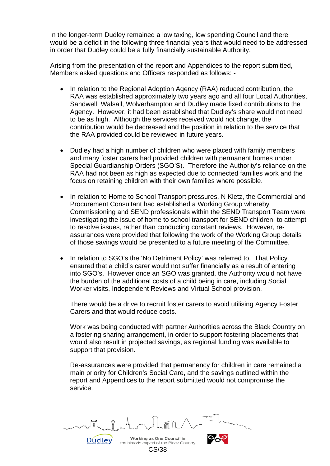In the longer-term Dudley remained a low taxing, low spending Council and there would be a deficit in the following three financial years that would need to be addressed in order that Dudley could be a fully financially sustainable Authority.

Arising from the presentation of the report and Appendices to the report submitted, Members asked questions and Officers responded as follows: -

- In relation to the Regional Adoption Agency (RAA) reduced contribution, the RAA was established approximately two years ago and all four Local Authorities, Sandwell, Walsall, Wolverhampton and Dudley made fixed contributions to the Agency. However, it had been established that Dudley's share would not need to be as high. Although the services received would not change, the contribution would be decreased and the position in relation to the service that the RAA provided could be reviewed in future years.
- Dudley had a high number of children who were placed with family members and many foster carers had provided children with permanent homes under Special Guardianship Orders (SGO'S). Therefore the Authority's reliance on the RAA had not been as high as expected due to connected families work and the focus on retaining children with their own families where possible.
- In relation to Home to School Transport pressures, N Kletz, the Commercial and Procurement Consultant had established a Working Group whereby Commissioning and SEND professionals within the SEND Transport Team were investigating the issue of home to school transport for SEND children, to attempt to resolve issues, rather than conducting constant reviews. However, reassurances were provided that following the work of the Working Group details of those savings would be presented to a future meeting of the Committee.
- In relation to SGO's the 'No Detriment Policy' was referred to. That Policy ensured that a child's carer would not suffer financially as a result of entering into SGO's. However once an SGO was granted, the Authority would not have the burden of the additional costs of a child being in care, including Social Worker visits, Independent Reviews and Virtual School provision.

There would be a drive to recruit foster carers to avoid utilising Agency Foster Carers and that would reduce costs.

Work was being conducted with partner Authorities across the Black Country on a fostering sharing arrangement, in order to support fostering placements that would also result in projected savings, as regional funding was available to support that provision.

Re-assurances were provided that permanency for children in care remained a main priority for Children's Social Care, and the savings outlined within the report and Appendices to the report submitted would not compromise the service.

Working as One Council in the historic capital of the Black Country CS/38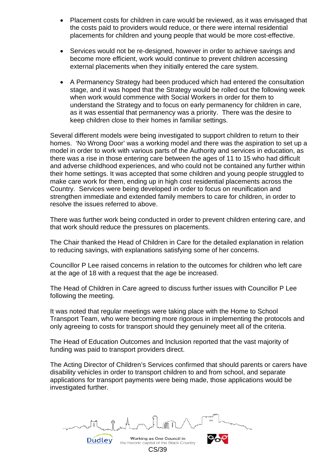- Placement costs for children in care would be reviewed, as it was envisaged that the costs paid to providers would reduce, or there were internal residential placements for children and young people that would be more cost-effective.
- Services would not be re-designed, however in order to achieve savings and become more efficient, work would continue to prevent children accessing external placements when they initially entered the care system.
- A Permanency Strategy had been produced which had entered the consultation stage, and it was hoped that the Strategy would be rolled out the following week when work would commence with Social Workers in order for them to understand the Strategy and to focus on early permanency for children in care, as it was essential that permanency was a priority. There was the desire to keep children close to their homes in familiar settings.

Several different models were being investigated to support children to return to their homes. 'No Wrong Door' was a working model and there was the aspiration to set up a model in order to work with various parts of the Authority and services in education, as there was a rise in those entering care between the ages of 11 to 15 who had difficult and adverse childhood experiences, and who could not be contained any further within their home settings. It was accepted that some children and young people struggled to make care work for them, ending up in high cost residential placements across the Country. Services were being developed in order to focus on reunification and strengthen immediate and extended family members to care for children, in order to resolve the issues referred to above.

There was further work being conducted in order to prevent children entering care, and that work should reduce the pressures on placements.

The Chair thanked the Head of Children in Care for the detailed explanation in relation to reducing savings, with explanations satisfying some of her concerns.

Councillor P Lee raised concerns in relation to the outcomes for children who left care at the age of 18 with a request that the age be increased.

The Head of Children in Care agreed to discuss further issues with Councillor P Lee following the meeting.

It was noted that regular meetings were taking place with the Home to School Transport Team, who were becoming more rigorous in implementing the protocols and only agreeing to costs for transport should they genuinely meet all of the criteria.

The Head of Education Outcomes and Inclusion reported that the vast majority of funding was paid to transport providers direct.

The Acting Director of Children's Services confirmed that should parents or carers have disability vehicles in order to transport children to and from school, and separate applications for transport payments were being made, those applications would be investigated further.

Working as One Council in the historic capital of the Black Country CS/39

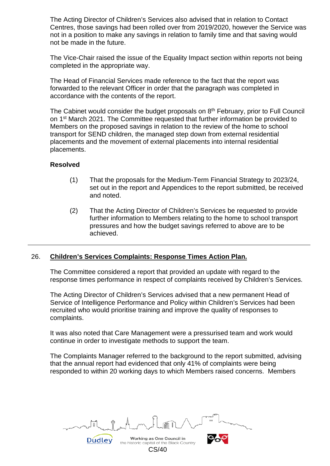The Acting Director of Children's Services also advised that in relation to Contact Centres, those savings had been rolled over from 2019/2020, however the Service was not in a position to make any savings in relation to family time and that saving would not be made in the future.

The Vice-Chair raised the issue of the Equality Impact section within reports not being completed in the appropriate way.

The Head of Financial Services made reference to the fact that the report was forwarded to the relevant Officer in order that the paragraph was completed in accordance with the contents of the report.

The Cabinet would consider the budget proposals on 8<sup>th</sup> February, prior to Full Council on 1st March 2021. The Committee requested that further information be provided to Members on the proposed savings in relation to the review of the home to school transport for SEND children, the managed step down from external residential placements and the movement of external placements into internal residential placements.

# **Resolved**

- (1) That the proposals for the Medium-Term Financial Strategy to 2023/24, set out in the report and Appendices to the report submitted, be received and noted.
- (2) That the Acting Director of Children's Services be requested to provide further information to Members relating to the home to school transport pressures and how the budget savings referred to above are to be achieved.

# 26. **Children's Services Complaints: Response Times Action Plan.**

The Committee considered a report that provided an update with regard to the response times performance in respect of complaints received by Children's Services.

The Acting Director of Children's Services advised that a new permanent Head of Service of Intelligence Performance and Policy within Children's Services had been recruited who would prioritise training and improve the quality of responses to complaints.

It was also noted that Care Management were a pressurised team and work would continue in order to investigate methods to support the team.

The Complaints Manager referred to the background to the report submitted, advising that the annual report had evidenced that only 41% of complaints were being responded to within 20 working days to which Members raised concerns. Members

Working as One Council in the historic capital of the Black Country CS/40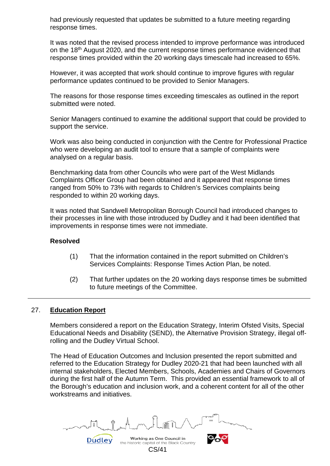had previously requested that updates be submitted to a future meeting regarding response times.

It was noted that the revised process intended to improve performance was introduced on the 18th August 2020, and the current response times performance evidenced that response times provided within the 20 working days timescale had increased to 65%.

However, it was accepted that work should continue to improve figures with regular performance updates continued to be provided to Senior Managers.

The reasons for those response times exceeding timescales as outlined in the report submitted were noted.

Senior Managers continued to examine the additional support that could be provided to support the service.

Work was also being conducted in conjunction with the Centre for Professional Practice who were developing an audit tool to ensure that a sample of complaints were analysed on a regular basis.

Benchmarking data from other Councils who were part of the West Midlands Complaints Officer Group had been obtained and it appeared that response times ranged from 50% to 73% with regards to Children's Services complaints being responded to within 20 working days.

It was noted that Sandwell Metropolitan Borough Council had introduced changes to their processes in line with those introduced by Dudley and it had been identified that improvements in response times were not immediate.

# **Resolved**

- (1) That the information contained in the report submitted on Children's Services Complaints: Response Times Action Plan, be noted.
- (2) That further updates on the 20 working days response times be submitted to future meetings of the Committee.

# 27. **Education Report**

Members considered a report on the Education Strategy, Interim Ofsted Visits, Special Educational Needs and Disability (SEND), the Alternative Provision Strategy, illegal offrolling and the Dudley Virtual School.

The Head of Education Outcomes and Inclusion presented the report submitted and referred to the Education Strategy for Dudley 2020-21 that had been launched with all internal stakeholders, Elected Members, Schools, Academies and Chairs of Governors during the first half of the Autumn Term. This provided an essential framework to all of the Borough's education and inclusion work, and a coherent content for all of the other workstreams and initiatives.

Working as One Council in Dudley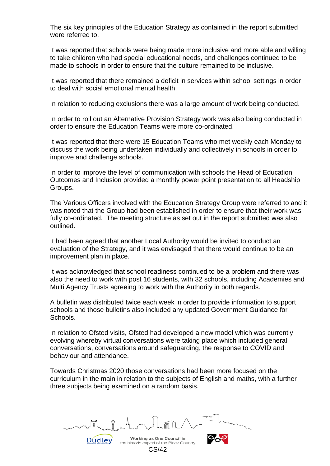The six key principles of the Education Strategy as contained in the report submitted were referred to.

It was reported that schools were being made more inclusive and more able and willing to take children who had special educational needs, and challenges continued to be made to schools in order to ensure that the culture remained to be inclusive.

It was reported that there remained a deficit in services within school settings in order to deal with social emotional mental health.

In relation to reducing exclusions there was a large amount of work being conducted.

In order to roll out an Alternative Provision Strategy work was also being conducted in order to ensure the Education Teams were more co-ordinated.

It was reported that there were 15 Education Teams who met weekly each Monday to discuss the work being undertaken individually and collectively in schools in order to improve and challenge schools.

In order to improve the level of communication with schools the Head of Education Outcomes and Inclusion provided a monthly power point presentation to all Headship Groups.

The Various Officers involved with the Education Strategy Group were referred to and it was noted that the Group had been established in order to ensure that their work was fully co-ordinated. The meeting structure as set out in the report submitted was also outlined.

It had been agreed that another Local Authority would be invited to conduct an evaluation of the Strategy, and it was envisaged that there would continue to be an improvement plan in place.

It was acknowledged that school readiness continued to be a problem and there was also the need to work with post 16 students, with 32 schools, including Academies and Multi Agency Trusts agreeing to work with the Authority in both regards.

A bulletin was distributed twice each week in order to provide information to support schools and those bulletins also included any updated Government Guidance for Schools.

In relation to Ofsted visits, Ofsted had developed a new model which was currently evolving whereby virtual conversations were taking place which included general conversations, conversations around safeguarding, the response to COVID and behaviour and attendance.

Towards Christmas 2020 those conversations had been more focused on the curriculum in the main in relation to the subjects of English and maths, with a further three subjects being examined on a random basis.

Working as One Council in the historic capital of the Black Country CS/42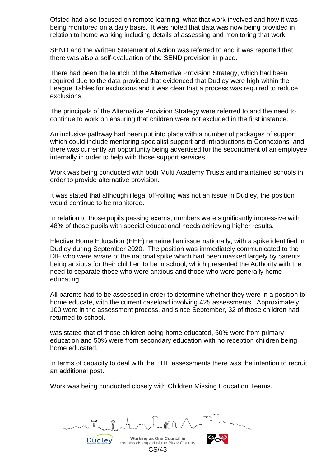Ofsted had also focused on remote learning, what that work involved and how it was being monitored on a daily basis. It was noted that data was now being provided in relation to home working including details of assessing and monitoring that work.

SEND and the Written Statement of Action was referred to and it was reported that there was also a self-evaluation of the SEND provision in place.

There had been the launch of the Alternative Provision Strategy, which had been required due to the data provided that evidenced that Dudley were high within the League Tables for exclusions and it was clear that a process was required to reduce exclusions.

The principals of the Alternative Provision Strategy were referred to and the need to continue to work on ensuring that children were not excluded in the first instance.

An inclusive pathway had been put into place with a number of packages of support which could include mentoring specialist support and introductions to Connexions, and there was currently an opportunity being advertised for the secondment of an employee internally in order to help with those support services.

Work was being conducted with both Multi Academy Trusts and maintained schools in order to provide alternative provision.

It was stated that although illegal off-rolling was not an issue in Dudley, the position would continue to be monitored.

In relation to those pupils passing exams, numbers were significantly impressive with 48% of those pupils with special educational needs achieving higher results.

Elective Home Education (EHE) remained an issue nationally, with a spike identified in Dudley during September 2020. The position was immediately communicated to the DfE who were aware of the national spike which had been masked largely by parents being anxious for their children to be in school, which presented the Authority with the need to separate those who were anxious and those who were generally home educating.

All parents had to be assessed in order to determine whether they were in a position to home educate, with the current caseload involving 425 assessments. Approximately 100 were in the assessment process, and since September, 32 of those children had returned to school.

was stated that of those children being home educated, 50% were from primary education and 50% were from secondary education with no reception children being home educated.

In terms of capacity to deal with the EHE assessments there was the intention to recruit an additional post.

Work was being conducted closely with Children Missing Education Teams.

Working as One Council in the historic capital of the Black Country CS/43

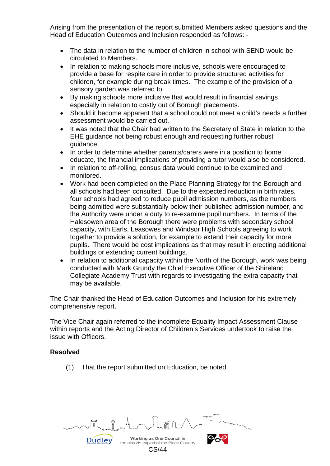Arising from the presentation of the report submitted Members asked questions and the Head of Education Outcomes and Inclusion responded as follows: -

- The data in relation to the number of children in school with SEND would be circulated to Members.
- In relation to making schools more inclusive, schools were encouraged to provide a base for respite care in order to provide structured activities for children, for example during break times. The example of the provision of a sensory garden was referred to.
- By making schools more inclusive that would result in financial savings especially in relation to costly out of Borough placements.
- Should it become apparent that a school could not meet a child's needs a further assessment would be carried out.
- It was noted that the Chair had written to the Secretary of State in relation to the EHE guidance not being robust enough and requesting further robust guidance.
- In order to determine whether parents/carers were in a position to home educate, the financial implications of providing a tutor would also be considered.
- In relation to off-rolling, census data would continue to be examined and monitored.
- Work had been completed on the Place Planning Strategy for the Borough and all schools had been consulted. Due to the expected reduction in birth rates, four schools had agreed to reduce pupil admission numbers, as the numbers being admitted were substantially below their published admission number, and the Authority were under a duty to re-examine pupil numbers. In terms of the Halesowen area of the Borough there were problems with secondary school capacity, with Earls, Leasowes and Windsor High Schools agreeing to work together to provide a solution, for example to extend their capacity for more pupils. There would be cost implications as that may result in erecting additional buildings or extending current buildings.
- In relation to additional capacity within the North of the Borough, work was being conducted with Mark Grundy the Chief Executive Officer of the Shireland Collegiate Academy Trust with regards to investigating the extra capacity that may be available.

The Chair thanked the Head of Education Outcomes and Inclusion for his extremely comprehensive report.

The Vice Chair again referred to the incomplete Equality Impact Assessment Clause within reports and the Acting Director of Children's Services undertook to raise the issue with Officers.

# **Resolved**

(1) That the report submitted on Education, be noted.